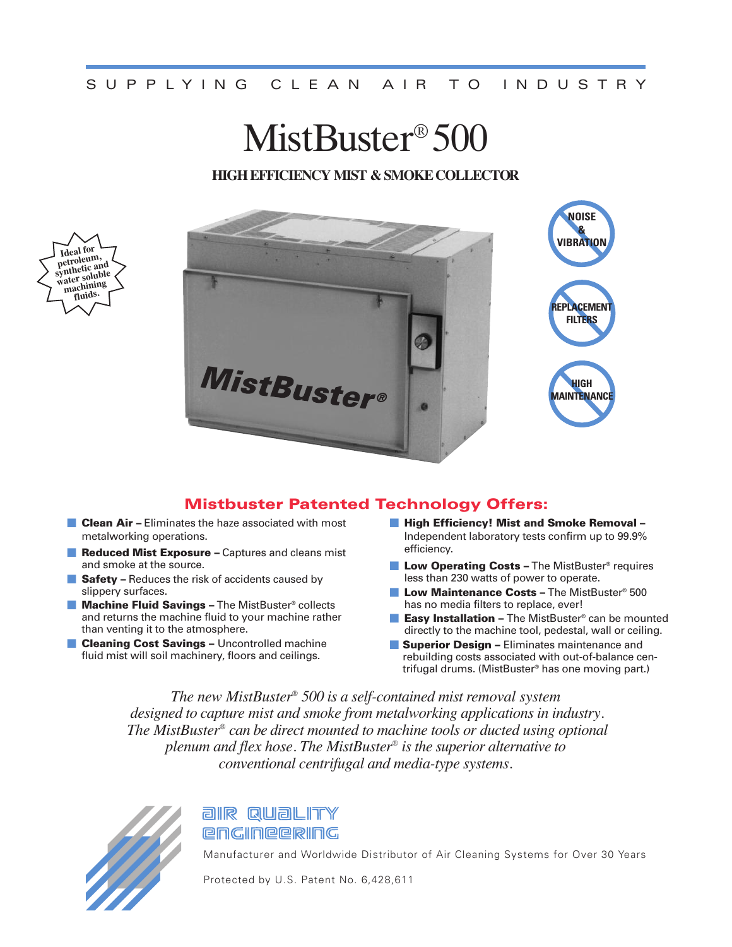#### S UPPLYING CLEAN AIR TO INDUSTRY

# MistBuster<sup>®</sup> 500

#### **HIGH EFFICIENCY MIST & SMOKE COLLECTOR**



#### **Mistbuster Patented Technology Offers:**

- **Clean Air –** Eliminates the haze associated with most metalworking operations.
- **F Reduced Mist Exposure** Captures and cleans mist and smoke at the source.
- **F** Safety Reduces the risk of accidents caused by slippery surfaces.
- **Machine Fluid Savings** The MistBuster<sup>®</sup> collects and returns the machine fluid to your machine rather than venting it to the atmosphere.
- **Cleaning Cost Savings Uncontrolled machine** fluid mist will soil machinery, floors and ceilings.
- **m High Efficiency! Mist and Smoke Removal –** Independent laboratory tests confirm up to 99.9% efficiency.
- **E** Low Operating Costs The MistBuster<sup>®</sup> requires less than 230 watts of power to operate.
- **Low Maintenance Costs The MistBuster® 500** has no media filters to replace, ever!
- **Easy Installation –** The MistBuster<sup>®</sup> can be mounted directly to the machine tool, pedestal, wall or ceiling.
- **F** Superior Design Eliminates maintenance and rebuilding costs associated with out-of-balance centrifugal drums. (MistBuster® has one moving part.)

*The new MistBuster® 500 is a self-contained mist removal system designed to capture mist and smoke from metalworking applications in industry. The MistBuster® can be direct mounted to machine tools or ducted using optional plenum and flex hose. The MistBuster® is the superior alternative to conventional centrifugal and media-type systems.*



**Ideal for petroleum, synthetic and water soluble machining fluids.**

### air Quality **engIneerIng**

Manufacturer and Worldwide Distributor of Air Cleaning Systems for Over 30 Years

Protected by U.S. Patent No. 6,428,611